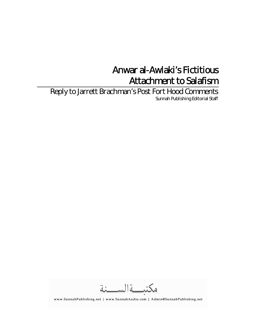# Anwar al-Awlaki's Fictitious Attachment to Salafism

Reply to Jarrett Brachman's Post Fort Hood Comments Sunnah Publishing Editorial Staff

مكتبةالسنة

www.SunnahPublishing.net | www.SunnahAudio.com | Admin@SunnahPublishing.net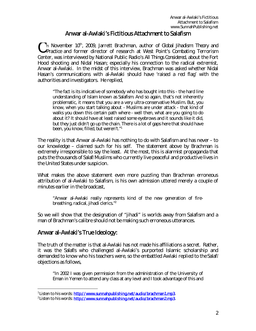## Anwar al-Awlaki's Fictitious Attachment to Salafism

On November 10<sup>th</sup>, 2009, Jarrett Brachman, author of Global Jihadism: Theory and<br>
Practice and former director of research at West Point's Combating Terrorism *Practice* and former director of research at West Point's Combating Terrorism Center, was interviewed by National Public Radio's *All Things Considered*, about the Fort Hood shooting and Nidal Hasan; especially his connection to the radical extremist, Anwar al-Awlaki. In the midst of this interview, Brachman was asked whether Nidal Hasan's communications with al-Awlaki should have 'raised a red flag' with the authorities and investigators. He replied,

"The fact is its indicative of somebody who has bought into this - the hard line understanding of Islam known as *Salafism*. And so again, that's not inherently problematic, it means that you are a very ultra-conservative Muslim. But, you know, when you start talking about - Muslims are under attack - that kind of walks you down this certain path where - well then, what are you going to do about it? It should have at least raised some eyebrows and it sounds like it did, but they just didn't go up the chain. There is a lot of gaps here that should have been, you know, filled, but weren't."<sup>1</sup>

The reality is that Anwar al-Awlaki has nothing to do with Salafism and has never – to our knowledge – claimed such for his self. The statement above by Brachman is extremely irresponsible to say the least. At the most, this is alarmist propaganda that puts the thousands of *Salafī*Muslims who currently live peaceful and productive lives in the United States under suspicion.

What makes the above statement even more puzzling than Brachman erroneous attribution of al-Awlaki to Salafism, is his own admission uttered merely a couple of minutes earlier in the broadcast,

"Anwar al-Awlaki really represents kind of the new generation of firebreathing, radical, jihadi clerics."<sup>2</sup>

So we will show that the designation of "jihadi" is worlds away from Salafism and a man of Brachman's calibre should not be making such erroneous utterances.

### Anwar al-Awlaki's True Ideology:

The truth of the matter is that al-Awlaki has not made his affiliations a secret. Rather, it was the *Salafīs* who challenged al-Awlaki's purported Islamic scholarship and demanded to know who his teachers were, so the embattled Awlaki replied to the *Salafī* objections as follows,

"In 2002 I was given permission from the administration of the University of Eman in Yemen to attend any class at any level and I took advantage of this and

<sup>&</sup>lt;sup>1</sup>Listen to his words: http://www.sunnahpublishing.net/audio/brachman1.mp3.

<sup>&</sup>lt;sup>2</sup>Listen to his words: **http://www.sunnahpublishing.net/audio/brachman2.mp3**.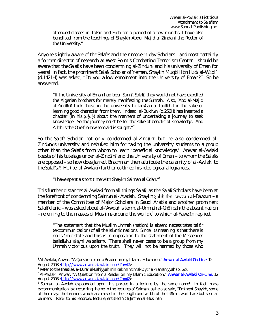attended classes in Tafsir and Fiqh for a period of a few months. I have also benefited from the teachings of Shaykh Abdul Majid al Zindani the Rector of the University."<sup>3</sup>

Anyone slightly aware of the *Salafīs* and their modern-day Scholars – and most certainly a former director of research at West Point's Combating Terrorism Center – should be aware that the *Salafīs* have been condemning al-Zindānīand his university of Eman for years! In fact, the prominent *Salafī*Scholar of Yemen, Shaykh Muqbil Ibn Hādīal-Wādi'ī (d.1421H) was asked, "Do you allow enrolment into the University of Eman?" So he answered,

"If the University of Eman had been *Sunnī*, *Salafī*, they would not have expelled the Algerian brothers for merely manifesting the *Sunnah*. Also, 'Abd al-Majīd al-Zindānī took those in the university to Jama<sup>'</sup>ah al-Tabligh for the sake of learning good character from them. Indeed, al-Bukhārī(d.256H) has inserted a chapter (in his *Ṣaḥīḥ*) about the manners of undertaking a journey to seek knowledge. So the journey must be for the sake of beneficial knowledge. And Allāh is the One from whom aid is sought."<sup>4</sup>

So the Salaf<sub>*I*</sub> Scholar not only condemned al-Zindan<sub>I</sub>, but he also condemned al-Zindānī's university and rebuked him for taking the university students to a group other than the *Salafīs* from whom to learn 'beneficial knowledge.' Anwar al-Awlaki boasts of his tutelage under al-Zindānī and the University of Eman – to whom the Salaf*ī*s are opposed – so how does Jarrett Brachman then attribute the calamity of al-Awlaki to the *Salafīs*?! He (i.e. al-Awlaki) further outlined his ideological allegiances,

"I have spent a short time with Shaykh Salman al Odah."<sup>5</sup>

This further distances al-Awlaki from all things *Salafī*, as the *Salafī*Scholars have been at the forefront of condemning Salmān al-'Awdah. Shaykh Sālih Ibn Fawzān al-Fawzān – a member of the Committee of Major Scholars in Saudi Arabia and another prominent *Salafī*cleric – was asked about al-'Awdah's term, *al-Ummah al-Ghā'ibah* (the absent nation – referring to the masses of Muslims around the world), $^6$  to which al-Fawzān replied,

"The statement that the Muslim *Ummah* (nation) is absent necessitates *takfīr* (excommunication) of all the Islāmic nations. Since, its meaning is that there is no Islāmic state and this is in opposition to the statement of the Messenger (*sallallāhu 'alayhi wa sallam*), "There shall never cease to be a group from my *Ummah* victorious upon the truth. They will not be harmed by those who

<sup>&</sup>lt;sup>3</sup> Al-Awlaki, Anwar. "A Question from a Reader on my Islamic Education." **Anwar al-Awlaki On-Line.** 12 August 2008 <http://www.anwar-alawlaki.com/?p=42>

<sup>4</sup> Refer to the treatise, *al-Durar al-Bahiyyah min Kalām Imām al-Diyār al-Yamaniyyah* (p. 62).

<sup>&</sup>lt;sup>5</sup> Al-Awlaki, Anwar. "A Question from a Reader on my Islamic Education." **Anwar al-Awlaki On-Line.** 12 August 2008 <http://www.anwar-alawlaki.com/?p=42>

<sup>6</sup> Salmān al-'Awdah expounded upon this phrase in a lecture by the same name! In fact, mass excommunication is a recurring theme in the lectures of Salmān, as he also said, "Eminent Shaykh, some of them say: the banners which are raised in the length and width of the Islāmic world are but secular banners." Refer to his recorded lecture, entitled, *Yāli Jirāhah al-Muslimīn*.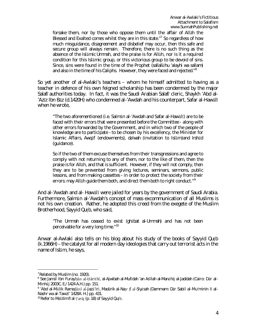forsake them, nor by those who oppose them until the affair of Allāh the Blessed and Exalted comes whilst they are in this state."<sup>7</sup> So regardless of how much misguidance, disagreement and disbelief may occur, then this safe and secure group will always remain. Therefore, there is no such thing as the absence of the Islāmic *Ummah*, and the praise is for Allāh, nor is it a required condition for this Islāmic group, or this victorious group to be devoid of sins. Since, sins were found in the time of the Prophet (*sallallāhu 'alayhi wa sallam*) and also in the time of his Caliphs. However, they were faced and rejected." $^{\rm 8}$ 

So yet another of al-Awlaki's teachers – whom he himself admitted to having as a teacher in defence of his own feigned scholarship has been condemned by the major *Salafī*authorities today. In fact, it was the Saudi Arabian *Salafī*cleric, Shaykh 'Abd al- 'Azīz Ibn Bāz (d.1420H) who condemned al-'Awdah and his counterpart, Safar al-Hawālī when he wrote,

"The two aforementioned (i.e. Salmān al-'Awdah and Safar al-Hawālī) are to be faced with their errors that were presented before the Committee - along with other errors forwarded by the Government, and in which two of the people of knowledge are to participate - to be chosen by his excellency, the Minister for Islamic Affairs, *Awqāf* (endowments), *da'wah* (invitation to Islām)and *Irshād* (guidance).

So if the two of them excuse themselves from their transgressions and agree to comply with not returning to any of them, nor to the like of them, then the praise is for Allāh, and that is sufficient. However, if they will not comply, then they are to be prevented from giving lectures, seminars, sermons, public lessons, and from making cassettes - in order to protect the society from their errors: may Allah guide them both, and direct them both to right conduct."<sup>9</sup>

And al-'Awdah and al- Hawālī were jailed for years by the government of Saudi Arabia. Furthermore, Salmān al-'Awdah's concept of mass excommunication of all Muslims is not his own creation. Rather, he adopted this creed from the exegete of the Muslim Brotherhood, Sayyid Quṭb, who said,

"The *Ummah* has ceased to exist (*ghābat al-Ummah*) and has not been perceivable for a very long time." <sup>10</sup>

Anwar al-Awlaki also tells on his blog about his study of the books of Sayyid Quṭb (k.1966H) – the catalyst for all modern day ideologies that carry out terrorist acts in the name of Islām, he says,

 $7$ Related by Muslim (no. 1920).

<sup>8</sup> See Jamāl Ibn Furayḥān al-Ḥārithī, *al-Ajwibah al-Mufīdah 'an As'ilah al-Manāhij al-Jadīdah* (Cairo: Dār al-Minhāj 2003C. E./1424 A.H.) pp. 151.

<sup>9</sup> 'Abd al-Mālik Ramaḍānīal-Jazā'irī, *Madārik al-Naẓr fīal-Siyāsah* (Dammam: Dār Sabīl al-Mu'minīn li al-Nashr wa al-Tawzī' 1428A. H.) pp. 431.

<sup>10</sup> Refer to *Ma'ālim fīal-Ṭarīq* (p. 18) of Sayyid Quṭb.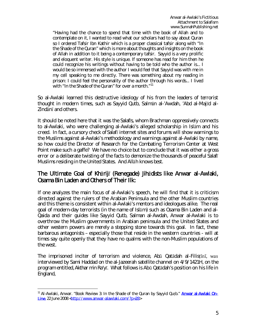"Having had the chance to spend that time with the book of Allah and to contemplate on it, I wanted to read what our scholars had to say about Quran so I ordered Tafsir Ibn Kathir which is a proper classical tafsir along with "In the Shade of the Quran" which is more about thoughts and insights on the book of Allah in addition to it being a contemporary tafsir. Sayyid is a very prolific and eloquent writer. His style is unique. If someone has read for him then he could recognize his writings without having to be told who the author is... I would be so immersed with the author I would feel that Sayyid was with me in my cell speaking to me directly. There was something about my reading in prison: I could feel the personality of the author through his words... I lived with "In the Shade of the Quran" for over a month."<sup>11</sup>

So al-Awlaki learned this destructive ideology of his from the leaders of terrorist thought in modern times, such as Sayyid Qutb, Salmān al-'Awdah, 'Abd al-Majīd al-Zindānī and others.

It should be noted here that it was the *Salafīs*, whom Brachman oppressively connects to al-Awlaki, who were challenging al-Awlaki's alleged scholarship in Islām and his creed. In fact, a cursory check of *Salafī*internet sites and forums will show warnings to the Muslims against al-Awlaki's methodology and warnings against al-Awlaki by name, so how could the Director of Research for the Combating Terrorism Center at West Point make such a gaffe? We have no choice but to conclude that it was either a gross error or a deliberate twisting of the facts to demonize the thousands of peaceful *Salafī* Muslims residing in the United States. And Allāh knows best.

### The Ultimate Goal of *Khārijī*(Renegade) *Jihādists* like Anwar al-Awlaki, Osama Bin Laden and Others of Their Ilk:

If one analyzes the main focus of al-Awlaki's speech, he will find that it is criticism directed against the rulers of the Arabian Peninsula and the other Muslim countries and this theme is consistent within al-Awlaki's mentors and ideologues alike. The real goal of modern-day terrorists (in the name of Islām) such as Osama Bin Laden and al-Qaida and their guides like Sayyid Qutb, Salman al-Awdah, Anwar al-Awlaki is to overthrow the Muslim governments in Arabian peninsula and the United States and other western powers are merely a stepping stone towards this goal. In fact, these barbarous antagonists – especially those that reside in the western countries - will at times say quite openly that they have no qualms with the non-Muslim populations of the west.

The imprisoned inciter of terrorism and violence, Abū Qatādah al-Filistīnī, was interviewed by Sami Haddad on the al-Jazeerah satellite channel on 4/9/1421H, on the program entitled, *Akthar min Ra'yī*. What follows is AbūQatādah's position on his life in England,

<sup>&</sup>lt;sup>11</sup> Al-Awlaki, Anwar. "Book Review 3: In the Shade of the Quran by Sayyid Qutb." **Anwar al-Awlaki On-**Line. 22 June 2008 <http://www.anwar-alawlaki.com/?p=28>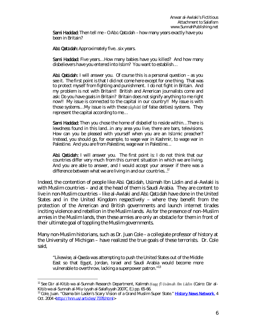Sami Haddad: Then tell me – O Abū Qatādah – how many years exactly have you been in Britain?

Abū Qatādah: Approximately five... six years.

Sami Haddad: Five years... How many babies have you killed? And how many disbelievers have you entered into Islām? You want to establish…

**Abū Qatādah:** I will answer you. Of course this is a personal question – as you see it. The first point is that I did not come here except for one thing. That was to protect myself from fighting and punishment. I do not fight in Britain. And my problem is not with Britain!! British and American journalists come and ask: Do you have goals in Britain? Britain does not signify anything to me right now!! My issue is connected to the capital in our country!! My issue is with those systems… My issue is with these *ṭāghūtī*(of false deities) systems. They represent the capital according to me…

Sami Haddad: Then you chose the home of disbelief to reside within... There is lewdness found in this land…in any area you live, there are bars, televisions. How can you be pleased with yourself when you are an Islāmic preacher? Instead, you should go, for example, to wage war in Kashmir, to wage war in Palestine. And you are from Palestine, wage war in Palestine…

Abū Qatādah: I will answer you. The first point is: I do not think that our countries differ very much from this current situation in which we are living. And you are able to answer, and I would accept your answer if there was a difference between what we are living in and our countries...<sup>12</sup>

Indeed, the contention of people like AbūQatādah, Usāmah Ibn Lādin and al-Awlaki is with Muslim countries – and at the head of them is Saudi Arabia. They are content to live in non-Muslim countries – like al-Awlaki and AbūQatādah have done in the United States and in the United Kingdom respectively – where they benefit from the protection of the American and British governments and launch internet tirades inciting violence and rebellion in the Muslim lands. As for the presence of non-Muslim armies in the Muslim lands, then these armies are only an obstacle for them in front of their ultimate goal of toppling the Muslim governments.

Many non-Muslim historians, such as Dr. Juan Cole – a collegiate professor of history at the University of Michigan – have realized the true goals of these terrorists. Dr. Cole said,

"Likewise, al-Qaeda was attempting to push the United States out of the Middle East so that Egypt, Jordan, Israel and Saudi Arabia would become more vulnerable to overthrow, lacking a superpower patron."<sup>13</sup>

<sup>12</sup> See Dār al-Kitāb wa al-Sunnah Research Department, *Kalimah Ḥaqq fīUsāmah Ibn Lādin* (Cairo: Dār al-Kitāb wa al-Sunnah al-Miṣriyyah al-Salafiyyah 2007C. E.) pp. 65-66.

<sup>&</sup>lt;sup>13</sup> Cole, Juan. "Osama bin Laden's Scary Vision of a Grand Muslim Super State." History News Network. 4 Oct. 2004 <http://hnn.us/articles/7378.html>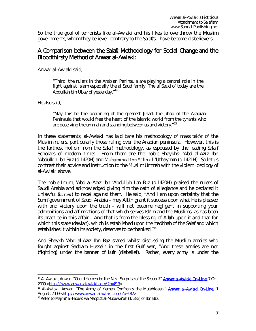So the true goal of terrorists like al-Awlaki and his likes to overthrow the Muslim governments, whom they believe – contrary to the *Salafīs* – have become disbelievers.

#### A Comparison between the Salaf*ī* Methodology for Social Change and the Bloodthirsty Method of Anwar al-Awlaki:

Anwar al-Awlaki said,

"Third, the rulers in the Arabian Peninsula are playing a central role in the fight against Islam especially the al Saud family. The al Saud of today are the Abdullah bin Ubay of yesterday."<sup>14</sup>

He also said,

"May this be the beginning of the greatest Jihad, the Jihad of the Arabian Peninsula that would free the heart of the Islamic world from the tyrants who are deceiving the ummah and standing between us and victory." <sup>15</sup>

In these statements, al-Awlaki has laid bare his methodology of mass *takfīr* of the Muslim rulers, particularly those ruling over the Arabian peninsula. However, this is the farthest notion from the Salaf*ī* methodology, as espoused by the leading Salaf*ī* Scholars of modern times. From them are the noble Shaykhs: 'Abd al-Azīz Ibn 'Abdullāh Ibn Bāz (d.1420H) and Muhammad Ibn Sālih al-'Uthaymīn (d.1421H). So let us contrast their advice and instruction to the Muslim *Ummah* with the violent ideology of al-Awlaki above.

The noble Imām, 'Abd al-Azīz Ibn 'Abdullāh Ibn Bāz (d.1420H) praised the rulers of Saudi Arabia and acknowledged giving him the oath of allegiance and he declared it unlawful (*ḥarām*) to rebel against them. He said, "And I am upon certainty that the *Sunnī*government of Saudi Arabia – may Allāh grant it success upon what He is pleased with and victory upon the truth – will not become negligent in supporting your admonitions and affirmations of that which serves Islām and the Muslims, as has been its practice in this affair… And that is from the blessing of Allāh upon it and that for which this state (*dawlah*), which is established upon the *madhhab* of the *Salaf* and which establishes it within its society, deserves to be thanked."<sup>16</sup>

And Shaykh 'Abd al-Azīz Ibn Bāz stated whilst discussing the Muslim armies who fought against Saddam Hussein in the first Gulf war, "And these armies are not (fighting) under the banner of *kufr* (disbelief). Rather, every army is under the

<sup>&</sup>lt;sup>14</sup> Al-Awlaki, Anwar. "Could Yemen be the Next Surprise of the Season?" **Anwar al-Awlaki On-Line.** 7 Oct. 2009 < http://www.anwar-alawlaki.com/?p=213>

<sup>&</sup>lt;sup>15</sup> Al-Awlaki, Anwar. "The Army of Yemen Confronts the Mujahideen." **Anwar al-Awlaki On-Line.** 1 August, 2009 < http://www.anwar-alawlaki.com/?p=182>

<sup>16</sup> Refer to *Majmū' al-Fatawāwa Maqālāt al-Mutawwi'ah* (1/383) of Ibn Bāz.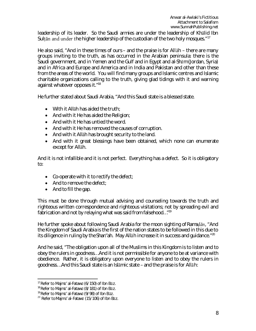leadership of its leader. So the Saudi armies are under the leadership of Khālid Ibn Sultan and under the higher leadership of the custodian of the two holy mosques." $17$ 

He also said, "And in these times of ours – and the praise is for Allāh – there are many groups inviting to the truth, as has occurred in the Arabian peninsula: there is the Saudi government, and in Yemen and the Gulf and in Egypt and *al-Shām* (Jordan, Syria) and in Africa and Europe and America and in India and Pakistan and other than these from the areas of the world. You will find many groups and Islamic centres and Islamic charitable organizations calling to the truth, giving glad tidings with it and warning against whatever opposes it."<sup>18</sup>

He further stated about Saudi Arabia, "And this Saudi state is a blessed state.

- With it Allāh has aided the truth;
- And with it He has aided the Religion;
- And with it He has untied the word.
- And with it He has removed the causes of corruption.
- And with it Allah has brought security to the land.
- And with it great blessings have been obtained, which none can enumerate except for Allāh.

And it is not infallible and it is not perfect. Everything has a defect. So it is obligatory to:

- Co-operate with it to rectify the defect;
- And to remove the defect:
- And to fill the gap.

This must be done through mutual advising and counseling towards the truth and righteous written correspondence and righteous visitations; not by spreading evil and fabrication and not by relaying what was said from falsehood..."<sup>19</sup>

He further spoke about following Saudi Arabia for the moon sighting of *Ramaḍān*, "And the Kingdom of Saudi Arabia is the first of the nation states to be followed in this due to its diligence in ruling by the *Sharī'ah*. May Allāh increase it in success and guidance."<sup>20</sup>

And he said, "The obligation upon all of the Muslims in this Kingdom is to listen and to obey the rulers in goodness… And it is not permissible for anyone to be at variance with obedience. Rather, it is obligatory upon everyone to listen and to obey the rulers in goodness… And this Saudi state is an Islāmic state – and the praise is for Allāh:

<sup>17</sup> Refer to *Majmū' al-Fatawā*(6/150) of Ibn Bāz.

<sup>18</sup> Refer to *Majmū' al-Fatawā*(8/181) of Ibn Bāz.

<sup>19</sup> Refer to *Majmū' al-Fatawā*(9/98) of Ibn Bāz.

<sup>20</sup> Refer to *Majmū' al-Fatawā*(15/106) of Ibn Bāz.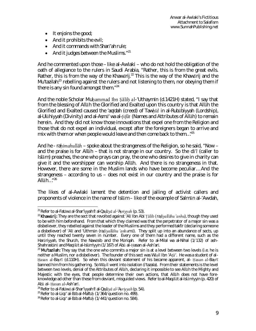- $\bullet$  It enjoins the good;
- $\bullet$  And it prohibits the evil;
- And it commands with *Sharī'ah* rule;
- $\bullet$  And it judges between the Muslims."<sup>21</sup>

And he commented upon those – like al-Awlaki – who do not hold the obligation of the oath of allegiance to the rulers in Saudi Arabia, "Rather, this is from the great evils. Rather, this is from the way of the *Khawārij*. <sup>22</sup> This is the way of the *Khawārij* and the *Mu'tazilah*: <sup>23</sup> rebelling against the rulers and not listening to them, nor obeying them if there is any sin found amongst them. $124$ 

And the noble Scholar Muhammad Ibn Sālih al-'Uthaymīn (d.1421H) stated, "I say that from the blessing of Allāh the Glorified and Exalted upon this country is that Allāh the Glorified and Exalted caused the *'aqīdah* (creed) of *Tawḥīd* in *al-Rubūbiyyah* (Lordship), *al-Ulūhiyyah* (Divinity) and *al-Asmā' wa al-Ṣifāt* (Names and Attributes of Allāh) to remain herein. And they did not know those innovations that expel one from the Religion and those that do not expel an individual, except after the foreigners began to arrive and mix with them or when people would leave and then come back to them... $n^{25}$ 

And he - *raḥimahullāh* – spoke about the strangeness of the Religion, so he said, "Now – and the praise is for Allāh – that is not strange in our country. So the *dā'ī*(caller to Islām) preaches, the one who prays can pray, the one who desires to give in charity can give it and the worshipper can worship Allāh. And there is no strangeness in that. However, there are some in the Muslim lands who have become peculiar… And the strangeness – according to us – does not exist in our country and the praise is for Allāh $\ldots$ "<sup>26</sup>

The likes of al-Awlaki lament the detention and jailing of activist callers and proponents of violence in the name of Islām – like of the example of Salmān al-'Awdah,

<sup>21</sup> Refer to *al-Fatāwāal-Shar'iyyah fīal-Qaḍāyāal-'Aṣriyyah* (p. 53).

<sup>&</sup>lt;sup>22</sup>Khawārij: They are the sect that revolted against 'Alī Ibn Abī Ṭālib (radiyallāhu 'anhu), though they used to be with him beforehand. From that which they claimed was that the perpetrator of a major sin was a disbeliever, they rebelled against the leader of the Muslims and they performed *takf*ī*r* (declaring someone a disbeliever) of 'Alīand 'Uthmān (*raḍiyallāhu 'anhumā*). They split up into an abundance of sects, up until they reached twenty seven in number. Every one of them had a different name, such as the *Harūriyyah*, the *Shurāh*, the *Nawāsib* and the *Māriqah*. Refer to *al-Milal wa al-Nihal* (1/132) of ash-Shahrastānīand *Maqālāt al-Islāmiyyīn* (1/167) of Abūal-Ḥasan al-Ash'arī.

<sup>&</sup>lt;sup>23</sup> Mu'tazilah: They say that the one who commits a major sin is at a level between two levels (i.e. he is neither a Muslim, nor a disbeliever). The founder of this sect was Wā*ṣ*il Ibn 'Aṭā'. He was a student of al-Ḥasan al-Ba*ṣ*rī(d.110H). So when this deviant statement of his became apparent, al- Ḥasan al-Ba*ṣ*rī banned him from his gathering. So Wā*ṣ*il went into isolation (*i'tazala*). From their statements is the level between two levels, denial of the Attributes of Allāh, declaring it impossible to see Allāh the Mighty and Majestic with the eyes, that people determine their own actions, that Allāh does not have foreknowledge ad other than these from deviant, misguided views. Refer*to al-Maqālāt al-Islāmiyyīn (*p. 420) of Abūal- Ḥasan al-Ash'arī.

<sup>24</sup> Refer to *al-Fatāwāal-Shar'iyyah fīal-Qaḍāyāal-'Aṣriyyah*(p. 54).

<sup>25</sup> Refer to *al-Liqā' al-Bāb al-Maftūḥ*(1/364/question no. 499).

<sup>26</sup> Refer to *al-Liqā' al-Bāb al-Maftūḥ*(1/441/question no. 584).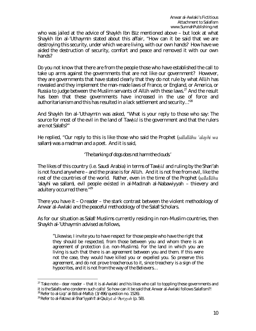who was jailed at the advice of Shaykh Ibn Bāz mentioned above – but look at what Shaykh Ibn al-'Uthaymīn stated about this affair, "How can it be said that we are destroying this security, under which we are living, with our own hands? How have we aided the destruction of security, comfort and peace and removed it with our own hands?

Do you not know that there are from the people those who have established the call to take up arms against the governments that are not like our government? However, they are governments that have stated clearly that they do not rule by what Allāh has revealed and they implement the man-made laws of France, or England, or America, or Russia to judge between the Muslim servants of Allah with these laws.<sup>27</sup> And the result has been that these governments have increased in the use of force and authoritarianism and this has resulted in a lack settlement and security…"<sup>28</sup>

And Shaykh Ibn al-'Uthaymīn was asked, "What is your reply to those who say: The source for most of the evil in the land of *Tawḥīd* is the government and that the rulers are not *Salafīs*?"

He replied, "Our reply to this is like those who said the Prophet (*ṣallallāhu 'alayhi wa sallam*) was a madman and a poet. And it is said,

'*The barking of dogs does not harm the clouds*.'

The likes of this country (i.e. Saudi Arabia) in terms of *Tawḥīd* and ruling by the *Sharī'ah* is not found anywhere – and the praise is for Allāh. And it is not free from evil, like the rest of the countries of the world. Rather, even in the time of the Prophet (*ṣallallāhu 'alayhi wa sallam*), evil people existed in al-Madīnah al-Nabawiyyah – thievery and adultery occurred there."<sup>29</sup>

There you have it – O reader – the stark contrast between the violent methodology of Anwar al-Awlaki and the peaceful methodology of the *Salafī*Scholars.

As for our situation as *Salafī*Muslims currently residing in non-Muslim countries, then Shaykh al-'Uthaymīn advised as follows,

"Likewise, I invite you to have respect for those people who have the right that they should be respected, from those between you and whom there is an agreement of protection (i.e. non-Muslims). For the land in which you are living is such that there is an agreement between you and them. If this were not the case, they would have killed you or expelled you. So preserve this agreement, and do not prove treacherous to it, since treachery is a sign of the hypocrites, and it is not from the way of the Believers…

 $27$  Take note – dear reader – that it is al-Awlaki and his likes who call to toppling these governments and it is the *Salafīs* who condemn such calls! So how can it be said that Anwar al-Awlaki follows Salafism?! <sup>28</sup> Refer to *al-Liqā' al-Bāb al-Maftūḥ*(3/496/question no. 1526).

<sup>29</sup> Refer to *al-Fatāwāal-Shar'iyyah fīal-Qaḍāyāal-'Aṣriyyah* (p. 58).